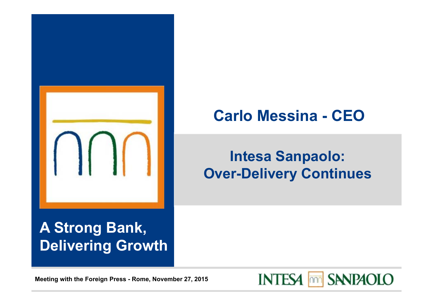

# **Carlo Messina - CEO**

# **Intesa Sanpaolo: Over-Delivery Continues**

## **A Strong Bank, Delivering Growth**

**Meeting with the Foreign Press - Rome, November 27, 2015**

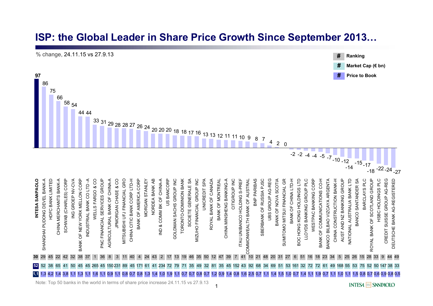#### **ISP: the Global Leader in Share Price Growth Since September 2013…**



1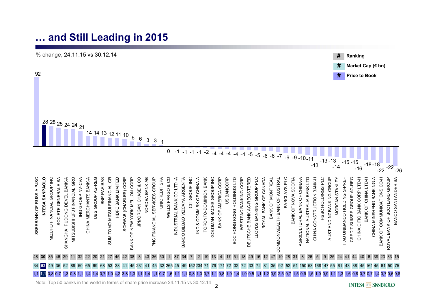#### **… and Still Leading in 2015**



Note: Top 50 banks in the world in terms of share price increase 24.11.15 vs 30.12.14

**INTESA MM SANPAOLO**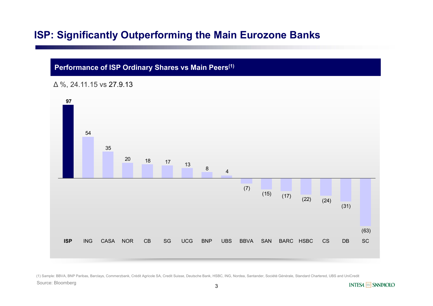#### **ISP: Significantly Outperforming the Main Eurozone Banks**

#### **Performance of ISP Ordinary Shares vs Main Peers(1)**





(1) Sample: BBVA, BNP Paribas, Barclays, Commerzbank, Crédit Agricole SA, Credit Suisse, Deutsche Bank, HSBC, ING, Nordea, Santander, Société Générale, Standard Chartered, UBS and UniCredit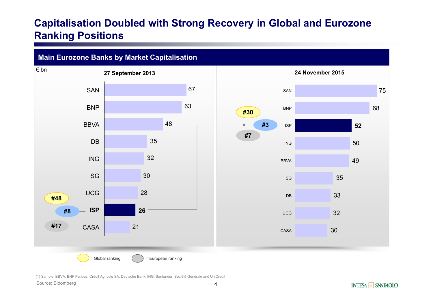#### **Capitalisation Doubled with Strong Recovery in Global and Eurozone Ranking Positions**



(1) Sample: BBVA, BNP Paribas, Crédit Agricole SA, Deutsche Bank, ING, Santander, Société Générale and UniCredit

Source: Bloomberg

**INTESA MM SANPAOLO**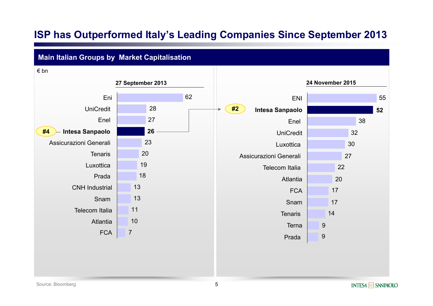#### **ISP has Outperformed Italy's Leading Companies Since September 2013**

#### **Main Italian Groups by Market Capitalisation**

**27 September 2013 24 November 2015** 7 1011131318192023272862**26** UniCredit EniFCA AtlantiaTelecom ItaliaSnamCNH IndustrialPradaLuxottica**Tenaris** Assicurazioni Generali**Intesa Sanpaolo** Enel€ bn99 14171720222730323855**52**Prada Terna**Tenaris** Snam**FCA** AtlantiaTelecom ItaliaAssicurazioni GeneraliLuxotticaUniCreditEnel**Intesa Sanpaolo** ENI**#4 #2**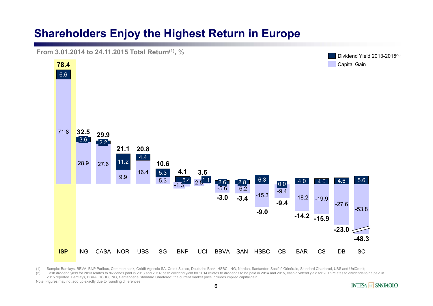#### **Shareholders Enjoy the Highest Return in Europe**

**From 3.01.2014 to 24.11.2015 Total Return(1),** %



(1) Sample: Barclays, BBVA, BNP Paribas, Commerzbank, Crédit Agricole SA, Credit Suisse, Deutsche Bank, HSBC, ING, Nordea, Santander, Société Générale, Standard Chartered, UBS and UniCredit;

(2) Cash dividend yield for 2013 relates to dividends paid in 2013 and 2014; cash dividend yield for 2014 relates to dividends to be paid in 2014 and 2014 and 2015, cash dividend yield for 2015 relates to dividends to be p 2015 reported Barclays, BBVA, HSBC, ING, Santander e Standard Chartered**;** the current market price includes implied capital gain

Note: Figures may not add up exactly due to rounding differences

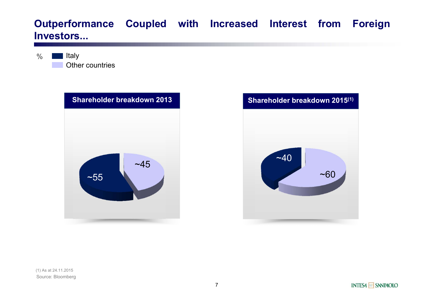#### **Outperformance Coupled with Increased Interest from Foreign Investors...**

 $\frac{0}{0}$ Other countriesItaly





Source: Bloomberg (1) As at 24.11.2015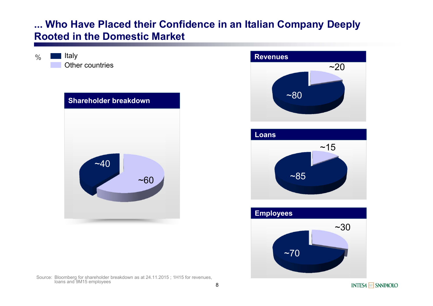#### **... Who Have Placed their Confidence in an Italian Company Deeply Rooted in the Domestic Market**



 $\frac{0}{0}$ 

Source: Bloomberg for shareholder breakdown as at 24.11.2015 ; 1H15 for revenues, loans and 9M15 employees





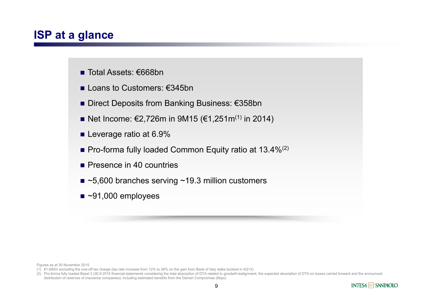#### **ISP at a glance**

- Total Assets: €668bn
- Loans to Customers: €345bn
- Direct Deposits from Banking Business: €358bn
- Net Income: €2,726m in 9M15 (€1,251m<sup>(1)</sup> in 2014)
- Leverage ratio at 6.9%
- **Pro-forma fully loaded Common Equity ratio at 13.4%**<sup>(2)</sup>
- **Presence in 40 countries**
- ~5,600 branches serving ~19.3 million customers
- ~91,000 employees

Figures as at 30 November 2015

(2) Pro-forma fully loaded Basel 3 (30.9.2015 financial statements considering the total absorption of DTA related to goodwill realignment, the expected absorption of DTA on losses carried forward and the announced distribution of reserves of insurance companies); including estimated benefits from the Danish Compromise (6bps)



<sup>(1)</sup> €1,690m excluding the one-off tax charge (tax rate increase from 12% to 26% on the gain from Bank of Italy stake booked in 4Q13)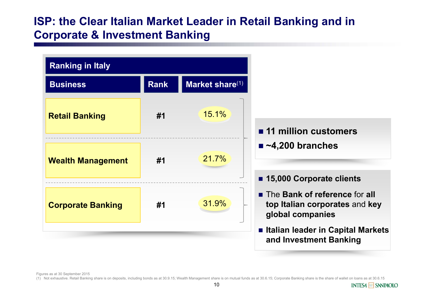#### **ISP: the Clear Italian Market Leader in Retail Banking and in Corporate & Investment Banking**



Figures as at 30 September 2015

(1) Not exhaustive. Retail Banking share is on deposits, including bonds as at 30.9.15; Wealth Management share is on mutual funds as at 30.6.15; Corporate Banking share is the share of wallet on loans as at 30.6.15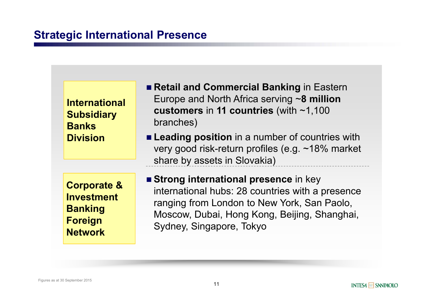#### **Strategic International Presence**

| <b>International</b><br><b>Subsidiary</b><br><b>Banks</b><br><b>Division</b> | <b>Retail and Commercial Banking in Eastern</b><br>Europe and North Africa serving $\sim$ 8 million<br>customers in 11 countries (with $~1,100$<br>branches)<br><b>Example 2</b> Leading position in a number of countries with<br>very good risk-return profiles (e.g. ~18% market<br>share by assets in Slovakia) |
|------------------------------------------------------------------------------|---------------------------------------------------------------------------------------------------------------------------------------------------------------------------------------------------------------------------------------------------------------------------------------------------------------------|
| <b>Corporate &amp;</b>                                                       | <b>Strong international presence in key</b>                                                                                                                                                                                                                                                                         |
| <b>Investment</b>                                                            | international hubs: 28 countries with a presence                                                                                                                                                                                                                                                                    |
| <b>Banking</b>                                                               | ranging from London to New York, San Paolo,                                                                                                                                                                                                                                                                         |
| <b>Foreign</b>                                                               | Moscow, Dubai, Hong Kong, Beijing, Shanghai,                                                                                                                                                                                                                                                                        |
| <b>Network</b>                                                               | Sydney, Singapore, Tokyo                                                                                                                                                                                                                                                                                            |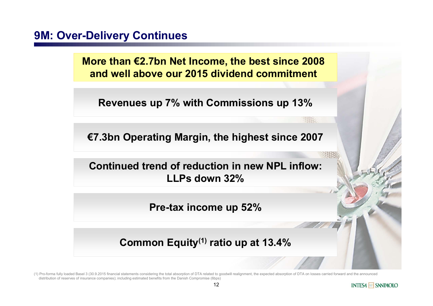#### **9M: Over-Delivery Continues**

**More than €2.7bn Net Income, the best since 2008 and well above our 2015 dividend commitment**

**Revenues up 7% with Commissions up 13%**

**€7.3bn Operating Margin, the highest since 2007**

**Continued trend of reduction in new NPL inflow: LLPs down 32%**

**Pre-tax income up 52%**

**Common Equity(1) ratio up at 13.4%**

(1) Pro-forma fully loaded Basel 3 (30.9.2015 financial statements considering the total absorption of DTA related to goodwill realignment, the expected absorption of DTA on losses carried forward and the announced distribution of reserves of insurance companies); including estimated benefits from the Danish Compromise (6bps)



983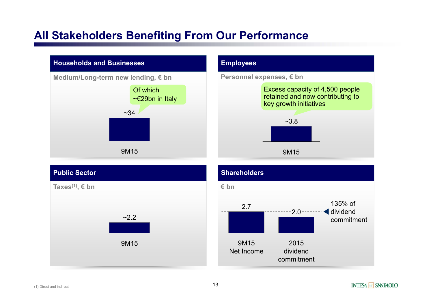#### **All Stakeholders Benefiting From Our Performance**







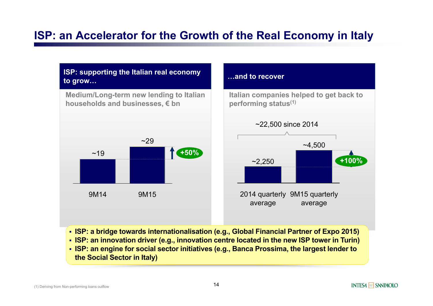### **ISP: an Accelerator for the Growth of the Real Economy in Italy**



**ISP: a bridge towards internationalisation (e.g., Global Financial Partner of Expo 2015)**

**ISP: an innovation driver (e.g., innovation centre located in the new ISP tower in Turin)**

 **ISP: an engine for social sector initiatives (e.g., Banca Prossima, the largest lender to the Social Sector in Italy)**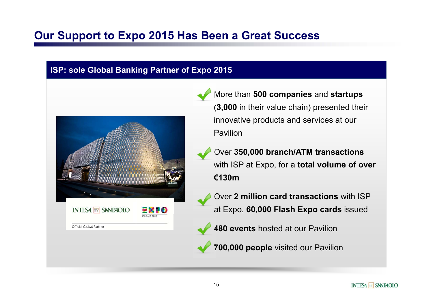#### **Our Support to Expo 2015 Has Been a Great Success**

#### **ISP: sole Global Banking Partner of Expo 2015**



- More than **500 companies** and **startups** (**3,000** in their value chain) presented their innovative products and services at our Pavilion
- Over **350,000 branch/ATM transactions**  with ISP at Expo, for a **total volume of over €130m**
- Over **2 million card transactions** with ISP at Expo, **60,000 Flash Expo cards** issued
- **480 events** hosted at our Pavilion
- **700,000 people** visited our Pavilion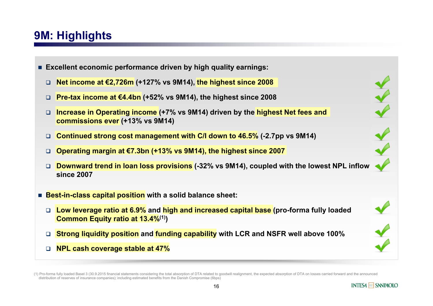## **9M: Highlights**

- **Excellent economic performance driven by high quality earnings:**
	- ❏ **Net income at €2,726m (+127% vs 9M14), the highest since 2008**
	- **Pre-tax income at €4.4bn (+52% vs 9M14), the highest since 2008**
	- $\Box$  **Increase in Operating income (+7% vs 9M14) driven by the highest Net fees and commissions ever (+13% vs 9M14)**
	- **Continued strong cost management with C/I down to 46.5% (-2.7pp vs 9M14)**
	- **Operating margin at €7.3bn (+13% vs 9M14), the highest since 2007**
	- ❏ **Downward trend in loan loss provisions (-32% vs 9M14), coupled with the lowest NPL inflow since 2007**
- Best-in-class capital position with a solid balance sheet:
	- **Low leverage ratio at 6.9% and high and increased capital base (pro-forma fully loaded Common Equity ratio at 13.4%(1))**
	- **Strong liquidity position and funding capability with LCR and NSFR well above 100%**
	- **NPL cash coverage stable at 47%**

<sup>(1)</sup> Pro-forma fully loaded Basel 3 (30.9.2015 financial statements considering the total absorption of DTA related to goodwill realignment, the expected absorption of DTA on losses carried forward and the announced distribution of reserves of insurance companies); including estimated benefits from the Danish Compromise (6bps)

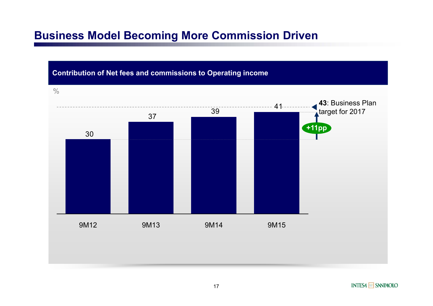#### **Business Model Becoming More Commission Driven**

#### **Contribution of Net fees and commissions to Operating income**

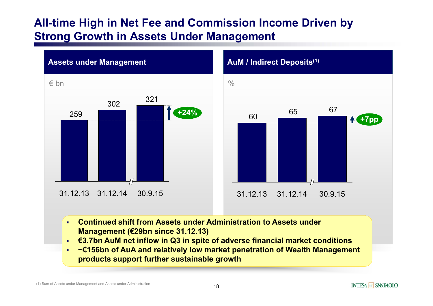#### **All-time High in Net Fee and Commission Income Driven by Strong Growth in Assets Under Management**



# 6560 65 67 31.12.14 30.9.15 **+7pp** 31.12.13

- $\mathbf{r}$  **Continued shift from Assets under Administration to Assets under Management (€29bn since 31.12.13)**
- $\blacksquare$ **€3.7bn AuM net inflow in Q3 in spite of adverse financial market conditions**
- a, **~€156bn of AuA and relatively low market penetration of Wealth Management products support further sustainable growth**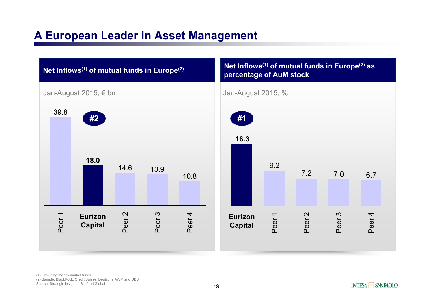## **A European Leader in Asset Management**



Source: Strategic Insights / Simfund Global 19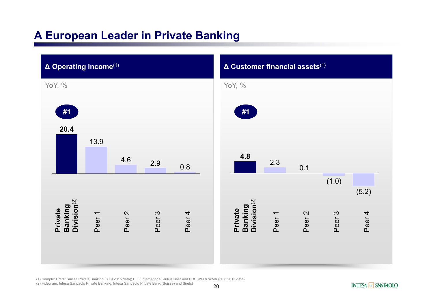## **A European Leader in Private Banking**



(1) Sample: Credit Suisse Private Banking (30.9.2015 data); EFG International, Julius Baer and UBS WM & WMA (30.6.2015 data)

(2) Fideuram, Intesa Sanpaolo Private Banking, Intesa Sanpaolo Private Bank (Suisse) and Sirefid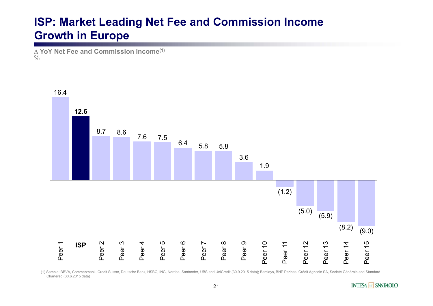### **ISP: Market Leading Net Fee and Commission Income Growth in Europe**

 **YoY Net Fee and Commission Income(1)**  $\frac{0}{0}$ 



(1) Sample: BBVA, Commerzbank, Credit Suisse, Deutsche Bank, HSBC, ING, Nordea, Santander, UBS and UniCredit (30.9.2015 data); Barclays, BNP Paribas, Crédit Agricole SA, Société Générale and Standard Chartered (30.6.2015 data)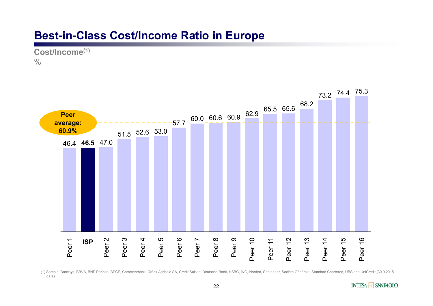#### **Best-in-Class Cost/Income Ratio in Europe**

**Cost/Income(1)**  $\frac{0}{0}$ 



(1) Sample: Barclays, BBVA, BNP Paribas, BPCE, Commerzbank, Crédit Agricole SA, Credit Suisse, Deutsche Bank, HSBC, ING, Nordea, Santander, Société Générale, Standard Chartered, UBS and UniCredit (30.9.2015 data)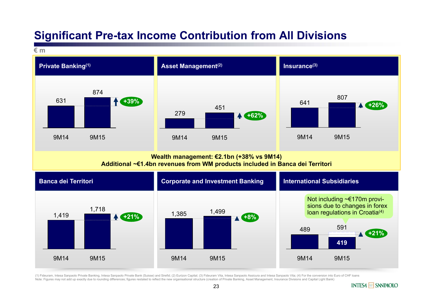#### **Significant Pre-tax Income Contribution from All Divisions**



(1) Fideuram, Intesa Sanpaolo Private Banking, Intesa Sanpaolo Private Bank (Suisse) and Sirefid; (2) Eurizon Capital; (3) Fideuram Vita, Intesa Sanpaolo Assicura and Intesa Sanpaolo Vita; (4) For the conversion into Euro Note: Figures may not add up exactly due to rounding differences; figures restated to reflect the new organisational structure (creation of Private Banking, Asset Management, Insurance Divisions and Capital Light Bank)

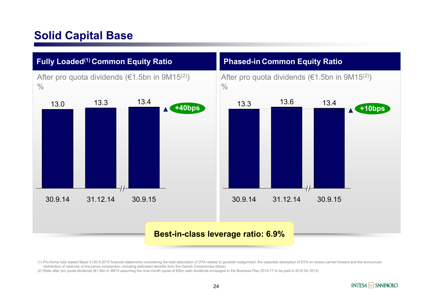## **Solid Capital Base**



(1) Pro-forma fully loaded Basel 3 (30.9.2015 financial statements considering the total absorption of DTA related to goodwill realignment, the expected absorption of DTA on losses carried forward and the announced distribution of reserves of insurance companies); including estimated benefits from the Danish Compromise (6bps)

(2) Ratio after pro quota dividends (€1.5bn in 9M15 assuming the nine-month quota of €2bn cash dividends envisaged in the Business Plan 2014-17 to be paid in 2016 for 2015)

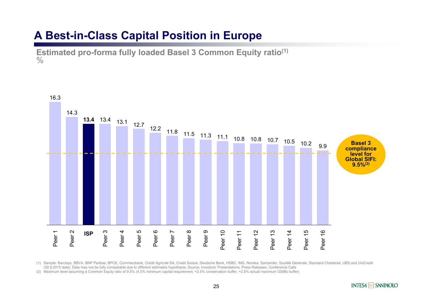#### **A Best-in-Class Capital Position in Europe**

**Estimated pro-forma fully loaded Basel 3 Common Equity ratio(1)**  $\frac{0}{0}$ 



(1) Sample: Barclays, BBVA, BNP Paribas, BPCE, Commerzbank, Crédit Agricole SA, Credit Suisse, Deutsche Bank, HSBC, ING, Nordea, Santander, Société Générale, Standard Chartered, UBS and UniCredit (30.9.2015 data). Data may not be fully comparable due to different estimates hypothesis. Source: Investors' Presentations, Press Releases, Conference Calls

(2) Maximum level assuming a Common Equity ratio of 9.5% (4.5% minimum capital requirement, +2.5% conservation buffer, +2.5% actual maximum GSIBs buffer)

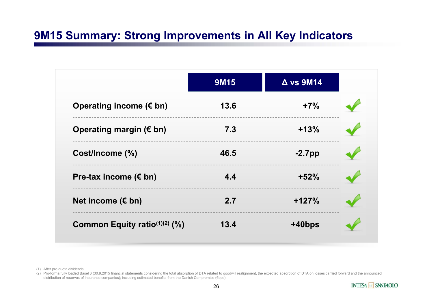## **9M15 Summary: Strong Improvements in All Key Indicators**

|                                  | <b>9M15</b> | $\Delta$ vs 9M14 |  |
|----------------------------------|-------------|------------------|--|
| Operating income $(\epsilon$ bn) | 13.6        | $+7%$            |  |
| Operating margin ( $\notin$ bn)  | 7.3         | $+13%$           |  |
| Cost/Income (%)                  | 46.5        | $-2.7$ pp        |  |
| Pre-tax income ( $\epsilon$ bn)  | 4.4         | $+52%$           |  |
| Net income ( $\notin$ bn)        | 2.7         | $+127%$          |  |
| Common Equity ratio $(1)(2)$ (%) | 13.4        | +40bps           |  |

(1) After pro quota dividends

(2) Pro-forma fully loaded Basel 3 (30.9.2015 financial statements considering the total absorption of DTA related to goodwill realignment, the expected absorption of DTA on losses carried forward and the announced distribution of reserves of insurance companies); including estimated benefits from the Danish Compromise (6bps)

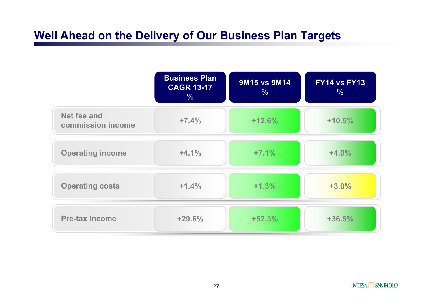## **Well Ahead on the Delivery of Our Business Plan Targets**

|                                  | <b>Business Plan</b><br><b>CAGR 13-17</b><br>$\%$ | <b>9M15 vs 9M14</b><br>$\frac{0}{0}$ | <b>FY14 vs FY13</b><br>% |
|----------------------------------|---------------------------------------------------|--------------------------------------|--------------------------|
| Net fee and<br>commission income | $+7.4%$                                           | $+12.6%$                             | $+10.5%$                 |
| <b>Operating income</b>          | $+4.1%$                                           | $+7.1%$                              | $+4.0%$                  |
| <b>Operating costs</b>           | $+1.4%$                                           | $+1.3%$                              | $+3.0%$                  |
| <b>Pre-tax income</b>            | +29.6%                                            | $+52.3%$                             | $+36.5%$                 |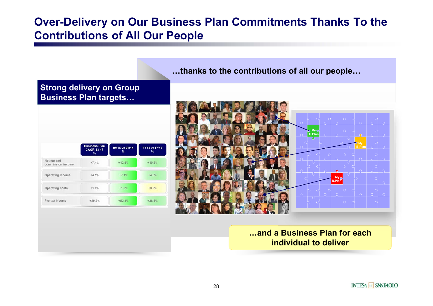#### **Over-Delivery on Our Business Plan Commitments Thanks To the Contributions of All Our People**

**Business Plan FY14 vs FY13** 9M15 vs 9M14 **CAGR 13-17**  $\frac{1}{2}$ Net fee and  $+7.4%$  $+12.6%$  $+10.5%$ commission income  $+4.1%$  $+7.1%$  $+4.0%$ Operating income Operating costs  $+1.4%$  $+1.3%$  $+3.0%$  $+52.3%$  $+36.5%$ Pre-tax income  $+29.6%$ 

**Strong delivery on Group Business Plan targets…**

**…thanks to the contributions of all our people…**



#### **…and a Business Plan for each individual to deliver**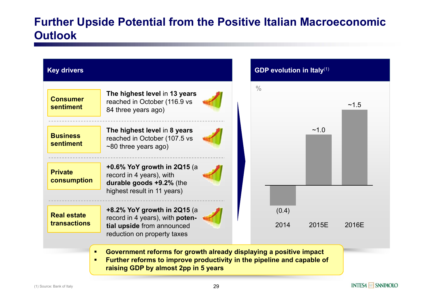## **Further Upside Potential from the Positive Italian Macroeconomic Outlook**